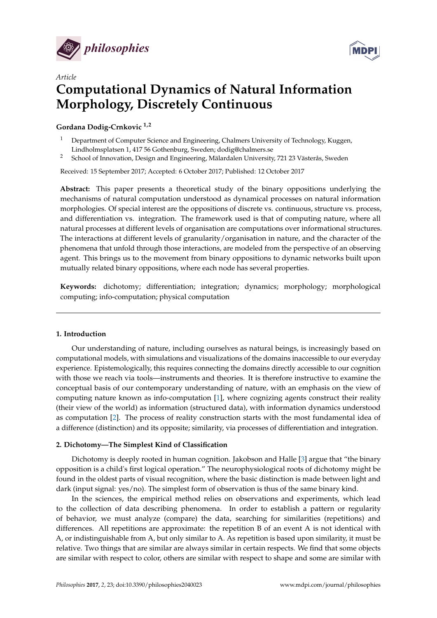



# *Article* **Computational Dynamics of Natural Information Morphology, Discretely Continuous**

### **Gordana Dodig-Crnkovic 1,2**

- <sup>1</sup> Department of Computer Science and Engineering, Chalmers University of Technology, Kuggen, Lindholmsplatsen 1, 417 56 Gothenburg, Sweden; dodig@chalmers.se
- <sup>2</sup> School of Innovation, Design and Engineering, Mälardalen University, 721 23 Västerås, Sweden

Received: 15 September 2017; Accepted: 6 October 2017; Published: 12 October 2017

**Abstract:** This paper presents a theoretical study of the binary oppositions underlying the mechanisms of natural computation understood as dynamical processes on natural information morphologies. Of special interest are the oppositions of discrete vs. continuous, structure vs. process, and differentiation vs. integration. The framework used is that of computing nature, where all natural processes at different levels of organisation are computations over informational structures. The interactions at different levels of granularity/organisation in nature, and the character of the phenomena that unfold through those interactions, are modeled from the perspective of an observing agent. This brings us to the movement from binary oppositions to dynamic networks built upon mutually related binary oppositions, where each node has several properties.

**Keywords:** dichotomy; differentiation; integration; dynamics; morphology; morphological computing; info-computation; physical computation

#### **1. Introduction**

Our understanding of nature, including ourselves as natural beings, is increasingly based on computational models, with simulations and visualizations of the domains inaccessible to our everyday experience. Epistemologically, this requires connecting the domains directly accessible to our cognition with those we reach via tools—instruments and theories. It is therefore instructive to examine the conceptual basis of our contemporary understanding of nature, with an emphasis on the view of computing nature known as info-computation [\[1\]](#page-8-0), where cognizing agents construct their reality (their view of the world) as information (structured data), with information dynamics understood as computation [\[2\]](#page-8-1). The process of reality construction starts with the most fundamental idea of a difference (distinction) and its opposite; similarity, via processes of differentiation and integration.

#### **2. Dichotomy—The Simplest Kind of Classification**

Dichotomy is deeply rooted in human cognition. Jakobson and Halle [\[3\]](#page-8-2) argue that "the binary opposition is a child's first logical operation." The neurophysiological roots of dichotomy might be found in the oldest parts of visual recognition, where the basic distinction is made between light and dark (input signal: yes/no). The simplest form of observation is thus of the same binary kind.

In the sciences, the empirical method relies on observations and experiments, which lead to the collection of data describing phenomena. In order to establish a pattern or regularity of behavior, we must analyze (compare) the data, searching for similarities (repetitions) and differences. All repetitions are approximate: the repetition B of an event A is not identical with A, or indistinguishable from A, but only similar to A. As repetition is based upon similarity, it must be relative. Two things that are similar are always similar in certain respects. We find that some objects are similar with respect to color, others are similar with respect to shape and some are similar with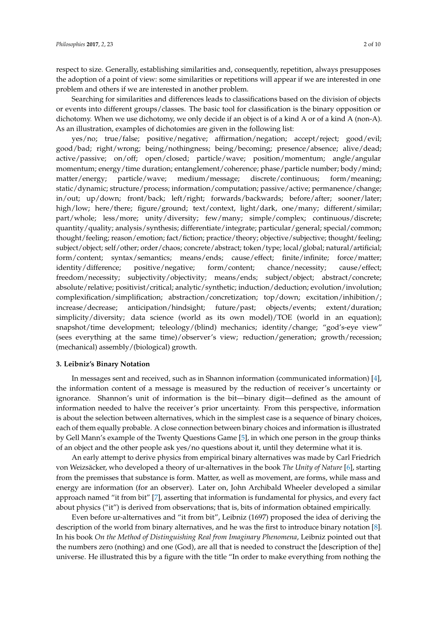respect to size. Generally, establishing similarities and, consequently, repetition, always presupposes the adoption of a point of view: some similarities or repetitions will appear if we are interested in one problem and others if we are interested in another problem.

Searching for similarities and differences leads to classifications based on the division of objects or events into different groups/classes. The basic tool for classification is the binary opposition or dichotomy. When we use dichotomy, we only decide if an object is of a kind A or of a kind A (non-A). As an illustration, examples of dichotomies are given in the following list:

yes/no; true/false; positive/negative; affirmation/negation; accept/reject; good/evil; good/bad; right/wrong; being/nothingness; being/becoming; presence/absence; alive/dead; active/passive; on/off; open/closed; particle/wave; position/momentum; angle/angular momentum; energy/time duration; entanglement/coherence; phase/particle number; body/mind; matter/energy; particle/wave; medium/message; discrete/continuous; form/meaning; static/dynamic; structure/process; information/computation; passive/active; permanence/change; in/out; up/down; front/back; left/right; forwards/backwards; before/after; sooner/later; high/low; here/there; figure/ground; text/context, light/dark, one/many; different/similar; part/whole; less/more; unity/diversity; few/many; simple/complex; continuous/discrete; quantity/quality; analysis/synthesis; differentiate/integrate; particular/general; special/common; thought/feeling; reason/emotion; fact/fiction; practice/theory; objective/subjective; thought/feeling; subject/object; self/other; order/chaos; concrete/abstract; token/type; local/global; natural/artificial; form/content; syntax/semantics; means/ends; cause/effect; finite/infinite; force/matter; identity/difference; positive/negative; form/content; chance/necessity; cause/effect; freedom/necessity; subjectivity/objectivity; means/ends; subject/object; abstract/concrete; absolute/relative; positivist/critical; analytic/synthetic; induction/deduction; evolution/involution; complexification/simplification; abstraction/concretization; top/down; excitation/inhibition/; increase/decrease; anticipation/hindsight; future/past; objects/events; extent/duration; simplicity/diversity; data science (world as its own model)/TOE (world in an equation); snapshot/time development; teleology/(blind) mechanics; identity/change; "god's-eye view" (sees everything at the same time)/observer's view; reduction/generation; growth/recession; (mechanical) assembly/(biological) growth.

#### **3. Leibniz's Binary Notation**

In messages sent and received, such as in Shannon information (communicated information) [\[4\]](#page-8-3), the information content of a message is measured by the reduction of receiver's uncertainty or ignorance. Shannon's unit of information is the bit—binary digit—defined as the amount of information needed to halve the receiver's prior uncertainty. From this perspective, information is about the selection between alternatives, which in the simplest case is a sequence of binary choices, each of them equally probable. A close connection between binary choices and information is illustrated by Gell Mann's example of the Twenty Questions Game [\[5\]](#page-8-4), in which one person in the group thinks of an object and the other people ask yes/no questions about it, until they determine what it is.

An early attempt to derive physics from empirical binary alternatives was made by Carl Friedrich von Weizsäcker, who developed a theory of ur-alternatives in the book *The Unity of Nature* [\[6\]](#page-8-5), starting from the premisses that substance is form. Matter, as well as movement, are forms, while mass and energy are information (for an observer). Later on, John Archibald Wheeler developed a similar approach named "it from bit" [\[7\]](#page-8-6), asserting that information is fundamental for physics, and every fact about physics ("it") is derived from observations; that is, bits of information obtained empirically.

Even before ur-alternatives and "it from bit", Leibniz (1697) proposed the idea of deriving the description of the world from binary alternatives, and he was the first to introduce binary notation [\[8\]](#page-8-7). In his book *On the Method of Distinguishing Real from Imaginary Phenomena*, Leibniz pointed out that the numbers zero (nothing) and one (God), are all that is needed to construct the [description of the] universe. He illustrated this by a figure with the title "In order to make everything from nothing the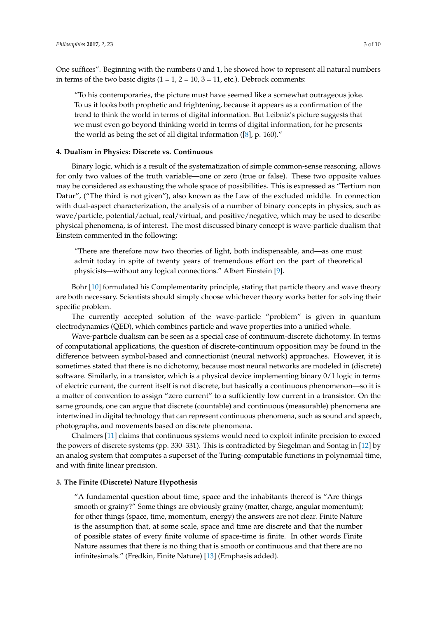One suffices". Beginning with the numbers 0 and 1, he showed how to represent all natural numbers in terms of the two basic digits  $(1 = 1, 2 = 10, 3 = 11,$  etc.). Debrock comments:

"To his contemporaries, the picture must have seemed like a somewhat outrageous joke. To us it looks both prophetic and frightening, because it appears as a confirmation of the trend to think the world in terms of digital information. But Leibniz's picture suggests that we must even go beyond thinking world in terms of digital information, for he presents the world as being the set of all digital information ([\[8\]](#page-8-7), p. 160)."

#### **4. Dualism in Physics: Discrete vs. Continuous**

Binary logic, which is a result of the systematization of simple common-sense reasoning, allows for only two values of the truth variable—one or zero (true or false). These two opposite values may be considered as exhausting the whole space of possibilities. This is expressed as "Tertium non Datur", ("The third is not given"), also known as the Law of the excluded middle. In connection with dual-aspect characterization, the analysis of a number of binary concepts in physics, such as wave/particle, potential/actual, real/virtual, and positive/negative, which may be used to describe physical phenomena, is of interest. The most discussed binary concept is wave-particle dualism that Einstein commented in the following:

"There are therefore now two theories of light, both indispensable, and—as one must admit today in spite of twenty years of tremendous effort on the part of theoretical physicists—without any logical connections." Albert Einstein [\[9\]](#page-8-8).

Bohr [\[10\]](#page-8-9) formulated his Complementarity principle, stating that particle theory and wave theory are both necessary. Scientists should simply choose whichever theory works better for solving their specific problem.

The currently accepted solution of the wave-particle "problem" is given in quantum electrodynamics (QED), which combines particle and wave properties into a unified whole.

Wave-particle dualism can be seen as a special case of continuum-discrete dichotomy. In terms of computational applications, the question of discrete-continuum opposition may be found in the difference between symbol-based and connectionist (neural network) approaches. However, it is sometimes stated that there is no dichotomy, because most neural networks are modeled in (discrete) software. Similarly, in a transistor, which is a physical device implementing binary 0/1 logic in terms of electric current, the current itself is not discrete, but basically a continuous phenomenon—so it is a matter of convention to assign "zero current" to a sufficiently low current in a transistor. On the same grounds, one can argue that discrete (countable) and continuous (measurable) phenomena are intertwined in digital technology that can represent continuous phenomena, such as sound and speech, photographs, and movements based on discrete phenomena.

Chalmers [\[11\]](#page-8-10) claims that continuous systems would need to exploit infinite precision to exceed the powers of discrete systems (pp. 330–331). This is contradicted by Siegelman and Sontag in [\[12\]](#page-8-11) by an analog system that computes a superset of the Turing-computable functions in polynomial time, and with finite linear precision.

#### **5. The Finite (Discrete) Nature Hypothesis**

"A fundamental question about time, space and the inhabitants thereof is "Are things smooth or grainy?" Some things are obviously grainy (matter, charge, angular momentum); for other things (space, time, momentum, energy) the answers are not clear. Finite Nature is the assumption that, at some scale, space and time are discrete and that the number of possible states of every finite volume of space-time is finite. In other words Finite Nature assumes that there is no thing that is smooth or continuous and that there are no infinitesimals." (Fredkin, Finite Nature) [\[13\]](#page-8-12) (Emphasis added).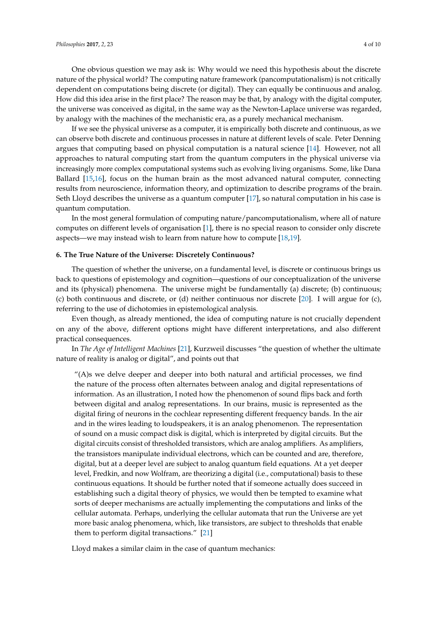One obvious question we may ask is: Why would we need this hypothesis about the discrete nature of the physical world? The computing nature framework (pancomputationalism) is not critically dependent on computations being discrete (or digital). They can equally be continuous and analog. How did this idea arise in the first place? The reason may be that, by analogy with the digital computer, the universe was conceived as digital, in the same way as the Newton-Laplace universe was regarded, by analogy with the machines of the mechanistic era, as a purely mechanical mechanism.

If we see the physical universe as a computer, it is empirically both discrete and continuous, as we can observe both discrete and continuous processes in nature at different levels of scale. Peter Denning argues that computing based on physical computation is a natural science [\[14\]](#page-8-13). However, not all approaches to natural computing start from the quantum computers in the physical universe via increasingly more complex computational systems such as evolving living organisms. Some, like Dana Ballard [\[15,](#page-8-14)[16\]](#page-8-15), focus on the human brain as the most advanced natural computer, connecting results from neuroscience, information theory, and optimization to describe programs of the brain. Seth Lloyd describes the universe as a quantum computer [\[17\]](#page-8-16), so natural computation in his case is quantum computation.

In the most general formulation of computing nature/pancomputationalism, where all of nature computes on different levels of organisation [\[1\]](#page-8-0), there is no special reason to consider only discrete aspects—we may instead wish to learn from nature how to compute [\[18,](#page-8-17)[19\]](#page-8-18).

#### **6. The True Nature of the Universe: Discretely Continuous?**

The question of whether the universe, on a fundamental level, is discrete or continuous brings us back to questions of epistemology and cognition—questions of our conceptualization of the universe and its (physical) phenomena. The universe might be fundamentally (a) discrete; (b) continuous; (c) both continuous and discrete, or (d) neither continuous nor discrete [\[20\]](#page-8-19). I will argue for (c), referring to the use of dichotomies in epistemological analysis.

Even though, as already mentioned, the idea of computing nature is not crucially dependent on any of the above, different options might have different interpretations, and also different practical consequences.

In *The Age of Intelligent Machines* [\[21\]](#page-8-20), Kurzweil discusses "the question of whether the ultimate nature of reality is analog or digital", and points out that

"(A)s we delve deeper and deeper into both natural and artificial processes, we find the nature of the process often alternates between analog and digital representations of information. As an illustration, I noted how the phenomenon of sound flips back and forth between digital and analog representations. In our brains, music is represented as the digital firing of neurons in the cochlear representing different frequency bands. In the air and in the wires leading to loudspeakers, it is an analog phenomenon. The representation of sound on a music compact disk is digital, which is interpreted by digital circuits. But the digital circuits consist of thresholded transistors, which are analog amplifiers. As amplifiers, the transistors manipulate individual electrons, which can be counted and are, therefore, digital, but at a deeper level are subject to analog quantum field equations. At a yet deeper level, Fredkin, and now Wolfram, are theorizing a digital (i.e., computational) basis to these continuous equations. It should be further noted that if someone actually does succeed in establishing such a digital theory of physics, we would then be tempted to examine what sorts of deeper mechanisms are actually implementing the computations and links of the cellular automata. Perhaps, underlying the cellular automata that run the Universe are yet more basic analog phenomena, which, like transistors, are subject to thresholds that enable them to perform digital transactions." [\[21\]](#page-8-20)

Lloyd makes a similar claim in the case of quantum mechanics: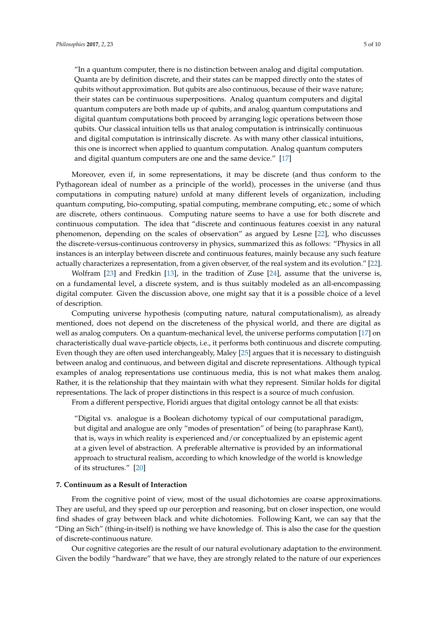"In a quantum computer, there is no distinction between analog and digital computation. Quanta are by definition discrete, and their states can be mapped directly onto the states of qubits without approximation. But qubits are also continuous, because of their wave nature; their states can be continuous superpositions. Analog quantum computers and digital quantum computers are both made up of qubits, and analog quantum computations and digital quantum computations both proceed by arranging logic operations between those qubits. Our classical intuition tells us that analog computation is intrinsically continuous and digital computation is intrinsically discrete. As with many other classical intuitions, this one is incorrect when applied to quantum computation. Analog quantum computers and digital quantum computers are one and the same device." [\[17\]](#page-8-16)

Moreover, even if, in some representations, it may be discrete (and thus conform to the Pythagorean ideal of number as a principle of the world), processes in the universe (and thus computations in computing nature) unfold at many different levels of organization, including quantum computing, bio-computing, spatial computing, membrane computing, etc.; some of which are discrete, others continuous. Computing nature seems to have a use for both discrete and continuous computation. The idea that "discrete and continuous features coexist in any natural phenomenon, depending on the scales of observation" as argued by Lesne [\[22\]](#page-8-21), who discusses the discrete-versus-continuous controversy in physics, summarized this as follows: "Physics in all instances is an interplay between discrete and continuous features, mainly because any such feature actually characterizes a representation, from a given observer, of the real system and its evolution." [\[22\]](#page-8-21).

Wolfram [\[23\]](#page-8-22) and Fredkin [\[13\]](#page-8-12), in the tradition of Zuse [\[24\]](#page-8-23), assume that the universe is, on a fundamental level, a discrete system, and is thus suitably modeled as an all-encompassing digital computer. Given the discussion above, one might say that it is a possible choice of a level of description.

Computing universe hypothesis (computing nature, natural computationalism), as already mentioned, does not depend on the discreteness of the physical world, and there are digital as well as analog computers. On a quantum-mechanical level, the universe performs computation [\[17\]](#page-8-16) on characteristically dual wave-particle objects, i.e., it performs both continuous and discrete computing. Even though they are often used interchangeably, Maley [\[25\]](#page-9-0) argues that it is necessary to distinguish between analog and continuous, and between digital and discrete representations. Although typical examples of analog representations use continuous media, this is not what makes them analog. Rather, it is the relationship that they maintain with what they represent. Similar holds for digital representations. The lack of proper distinctions in this respect is a source of much confusion.

From a different perspective, Floridi argues that digital ontology cannot be all that exists:

"Digital vs. analogue is a Boolean dichotomy typical of our computational paradigm, but digital and analogue are only "modes of presentation" of being (to paraphrase Kant), that is, ways in which reality is experienced and/or conceptualized by an epistemic agent at a given level of abstraction. A preferable alternative is provided by an informational approach to structural realism, according to which knowledge of the world is knowledge of its structures." [\[20\]](#page-8-19)

#### **7. Continuum as a Result of Interaction**

From the cognitive point of view, most of the usual dichotomies are coarse approximations. They are useful, and they speed up our perception and reasoning, but on closer inspection, one would find shades of gray between black and white dichotomies. Following Kant, we can say that the "Ding an Sich" (thing-in-itself) is nothing we have knowledge of. This is also the case for the question of discrete-continuous nature.

Our cognitive categories are the result of our natural evolutionary adaptation to the environment. Given the bodily "hardware" that we have, they are strongly related to the nature of our experiences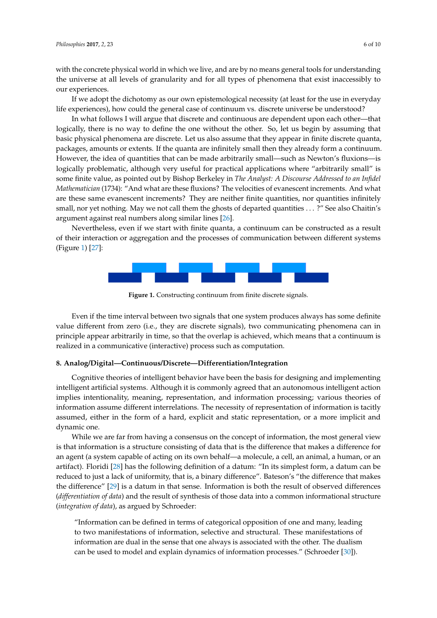If we adopt the dichotomy as our own epistemological necessity (at least for the use in everyday<br>life experiences), how could the general case of continuum vs. discrete universe be understood? life experiences), how could the general case of continuum vs. discrete universe be understood?

In what follows I will argue that discrete and continuous are dependent upon each other—that In what follows I will argue that discrete and continuous are dependent upon each other—that logically, there is no way to define the one without the other. So, let us begin by assuming that logically, there is no way to define the one without the other. So, let us begin by assuming that<br>basic physical phenomena are discrete. Let us also assume that they appear in finite discrete quanta, packages, amounts or extents. If the quanta are infinitely small then they already form a continuum. packages, amounts or extents. If the quanta are infinitely small then they already form a continuum. However, the idea of quantities that can be made arbitrarily small—such as Newton's fluxions—is However, the idea of quantities that can be made arbitrarily small—such as Newton's fluxions—is logically problematic, although very useful for practical applications where "arbitrarily small" is<br>some finite value, as pointed out by Bishop Berkeley in T*he Analyst: A Discourse Addressed to an Infidel* some finite value, as pointed out by Bishop Berkeley in *The Analyst: A Discourse Addressed to an Infidel Mathematician* (1734): "And what are these fluxions? The velocities of evanescent increments. And what<br>are these same evanescent increments? They are neither finite quantities, nor quantities infinitely are these same evanescent increments? They are neither finite quantities, nor quantities infinitely small, nor yet nothing. May we not call them the ghosts of departed quantities . . . ?" See also Chaitin's argument against real numbers along si[milar](#page-9-1) lines [26]. argument against real numbers along similar lines [26].

<span id="page-5-0"></span>Nevertheless, even if we start with finite quanta, a continuum can be constructed as a result Nevertheless, even if we start with finite quanta, a continuum can be constructed as a result<br>of their interaction or aggregation and the processes of communication between different systems (Figure 1) [27]: (Figure [1\)](#page-5-0) [\[27\]](#page-9-2):



**Figure 1.** Constructing continuum from finite discrete signals. **Figure 1.** Constructing continuum from finite discrete signals.

Even if the time interval between two signals that one system produces always has some Even if the time interval between two signals that one system produces always has some definite value different from zero (i.e., they are discrete signals), two communicating phenomena can in principle appear arbitrarily in time, so that the overlap is achieved, which means that a continuum is realized in a communicative (interactive) process such as computation.

## **8. Analog/Digital—Continuous/Discrete—Differentiation/Integration 8. Analog/Digital—Continuous/Discrete—Differentiation/Integration**

Cognitive theories of intelligent behavior have been the basis for designing and implementing Cognitive theories of intelligent behavior have been the basis for designing and implementing intelligent artificial systems. Although it is commonly agreed that an autonomous intelligent action intelligent artificial systems. Although it is commonly agreed that an autonomous intelligent action implies intentionality, meaning, representation, and information processing; various theories of implies intentionality, meaning, representation, and information processing; various theories of information assume different interrelations. The necessity of representation of information is tacitly information assume different interrelations. The necessity of representation of information is tacitly assumed, either in the form of a hard, explicit and static representation, or a more implicit and assumed, either in the form of a hard, explicit and static representation, or a more implicit and dynamic one. dynamic one.

While we are far from having a consensus on the concept of information, the most general view While we are far from having a consensus on the concept of information, the most general view is that information is a structure consisting of data that is the difference that makes a difference for is that information is a structure consisting of data that is the difference that makes a difference for an agent (a system capable of acting on its own behalf—a molecule, a cell, an animal, a human, or an an agent (a system capable of acting on its own behalf—a molecule, a cell, an animal, a human, or an artifact). Floridi [[28\]](#page-9-3) has the following definition of a datum: "In its simplest form, a datum can be artifact). Floridi [28] has the following definition of a datum: "In its simplest form, a datum can be reduced to just a lack of uniformity, that is, a binary difference". Bateson's "the difference that makes reduced to just a lack of uniformity, that is, a binary difference". Bateson's "the difference that makes the difference" [\[29\]](#page-9-4) is a datum in that sense. Information is both the result of observed differences (differentiation of data) and the result of synthesis of those data into a common informational structure (*integration of data*), as argued by Schroeder: (*integration of data*), as argued by Schroeder:

"Information can be defined in terms of categorical opposition of one and many, leading to two manifestations of information, selective and structural. These manifestations of information are dual in the sense that one always is associated with the other. The dualism information are dual in the sense that one always is associated with the other. The dualism can be used to model and explain dynamics of information processes." (Schroeder [30]) can be used to model and explain dynamics of information processes." (Schroeder [\[30\]](#page-9-5)).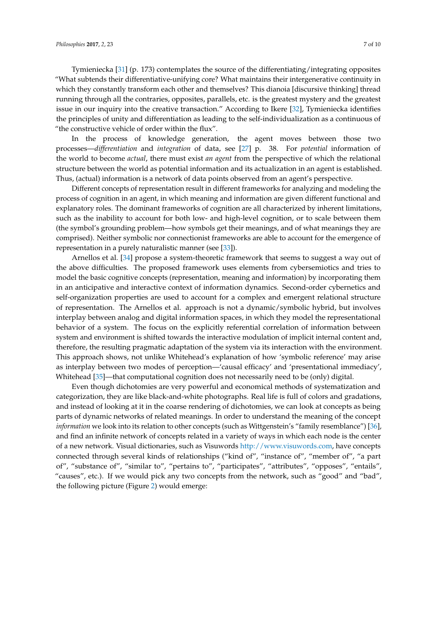Tymieniecka [\[31\]](#page-9-6) (p. 173) contemplates the source of the differentiating/integrating opposites "What subtends their differentiative-unifying core? What maintains their intergenerative continuity in which they constantly transform each other and themselves? This dianoia [discursive thinking] thread running through all the contraries, opposites, parallels, etc. is the greatest mystery and the greatest issue in our inquiry into the creative transaction." According to Ikere [\[32\]](#page-9-7), Tymieniecka identifies the principles of unity and differentiation as leading to the self-individualization as a continuous of "the constructive vehicle of order within the flux".

In the process of knowledge generation, the agent moves between those two processes—*differentiation* and *integration* of data, see [\[27\]](#page-9-2) p. 38. For *potential* information of the world to become *actual*, there must exist *an agent* from the perspective of which the relational structure between the world as potential information and its actualization in an agent is established. Thus, (actual) information is a network of data points observed from an agent's perspective.

Different concepts of representation result in different frameworks for analyzing and modeling the process of cognition in an agent, in which meaning and information are given different functional and explanatory roles. The dominant frameworks of cognition are all characterized by inherent limitations, such as the inability to account for both low- and high-level cognition, or to scale between them (the symbol's grounding problem—how symbols get their meanings, and of what meanings they are comprised). Neither symbolic nor connectionist frameworks are able to account for the emergence of representation in a purely naturalistic manner (see [\[33\]](#page-9-8)).

Arnellos et al. [\[34\]](#page-9-9) propose a system-theoretic framework that seems to suggest a way out of the above difficulties. The proposed framework uses elements from cybersemiotics and tries to model the basic cognitive concepts (representation, meaning and information) by incorporating them in an anticipative and interactive context of information dynamics. Second-order cybernetics and self-organization properties are used to account for a complex and emergent relational structure of representation. The Arnellos et al. approach is not a dynamic/symbolic hybrid, but involves interplay between analog and digital information spaces, in which they model the representational behavior of a system. The focus on the explicitly referential correlation of information between system and environment is shifted towards the interactive modulation of implicit internal content and, therefore, the resulting pragmatic adaptation of the system via its interaction with the environment. This approach shows, not unlike Whitehead's explanation of how 'symbolic reference' may arise as interplay between two modes of perception—'causal efficacy' and 'presentational immediacy', Whitehead [\[35\]](#page-9-10)—that computational cognition does not necessarily need to be (only) digital.

Even though dichotomies are very powerful and economical methods of systematization and categorization, they are like black-and-white photographs. Real life is full of colors and gradations, and instead of looking at it in the coarse rendering of dichotomies, we can look at concepts as being parts of dynamic networks of related meanings. In order to understand the meaning of the concept *information* we look into its relation to other concepts (such as Wittgenstein's "family resemblance") [\[36\]](#page-9-11), and find an infinite network of concepts related in a variety of ways in which each node is the center of a new network. Visual dictionaries, such as Visuwords [http://www.visuwords.com,](http://www.visuwords.com) have concepts connected through several kinds of relationships ("kind of", "instance of", "member of", "a part of", "substance of", "similar to", "pertains to", "participates", "attributes", "opposes", "entails", "causes", etc.). If we would pick any two concepts from the network, such as "good" and "bad", the following picture (Figure [2\)](#page-7-0) would emerge: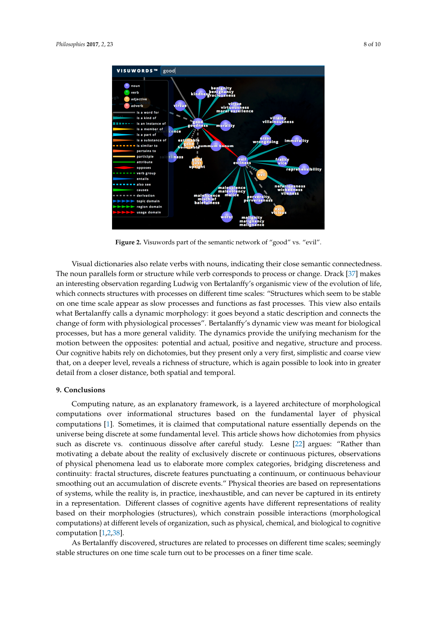<span id="page-7-0"></span>

**Figure 2.** Visuwords part of the semantic network of "good" vs. "evil". **Figure 2.** Visuwords part of the semantic network of "good" vs. "evil".

Visual dictionaries also relate verbs with nouns, indicating their close semantic connectedness. Visual dictionaries also relate verbs with nouns, indicating their close semantic connectedness. The noun parallels form or structure while verb corresponds to process or change. Drack [37] makes The noun parallels form or structure while verb corresponds to process or change. Drack [\[37\]](#page-9-12) makes an interesting observation regarding Ludwig von Bertalanffy's organismic view of the evolution of life, which connects structures with processes on different time scales: "Structures which seem to be stable on one time scale appear as slow processes and functions as fast processes. This view also entails what Bertalanffy calls a dynamic morphology: it goes beyond a static description and connects the change of form with physiological processes". Bertalanffy's dynamic view was meant for biological for biological processes, but has a more general validity. The dynamics provide the unifying processes, but has a more general validity. The dynamics provide the unifying mechanism for the motion between the opposites: potential and actual, positive and negative, structure and process. structure and process. Our cognitive habits rely on dichotomies, but they present only a very first, Our cognitive habits rely on dichotomies, but they present only a very first, simplistic and coarse view that, on a deeper level, reveals a richness of structure, which is again possible to look into in greater detail from a closer distance, both spatial and temporal.

# **9. Conclusions 9. Conclusions**

Computing nature, as an explanatory framework, is a layered architecture of morphological Computing nature, as an explanatory framework, is a layered architecture of morphological computations over informational structures based on the fundamental layer of physical computations over informational structures based on the fundamental layer of physical computations [1]. Sometimes, it is claimed that computational nature essentially depends on the computations [\[1\]](#page-8-0). Sometimes, it is claimed that computational nature essentially depends on the universe being discrete at some fundamental level. This article shows how dichotomies from physics universe being discrete at some fundamental level. This article shows how dichotomies from physics such as discrete vs. continuous dissolve after careful study. Lesne [\[22\]](#page-8-21) argues: "Rather than motivating a debate about the reality of exclusively discrete or continuous pictures, observations physical phenomena lead us to elaborate more complex categories, bridging discreteness and of physical phenomena lead us to elaborate more complex categories, bridging discreteness and continuity: fractal structures, discrete features punctuating a continuum, or continuous behaviour continuity: fractal structures, discrete features punctuating a continuum, or continuous behaviour smoothing out an accumulation of discrete events." Physical theories are based on representations of systems, while the reality is, in practice, inexhaustible, and can never be captured in its entirety in a representation. Different classes of cognitive agents have different representations of reality based on their morphologies (structures), which constrain possible interactions (morphological computations) at different levels of organization, such as physical, chemical, and biological to computations) at different levels of organization, such as physical, chemical, and biological to cognitive computation  $[1,2,38]$  $[1,2,38]$  $[1,2,38]$ .

As Bertalanffy discovered, structures are related to processes on different time scales; As Bertalanffy discovered, structures are related to processes on different time scales; seemingly stable structures on one time scale turn out to be processes on a finer time scale.

In summary, this article studies the computational dynamics of natural informational information  $\mathcal{I}_1$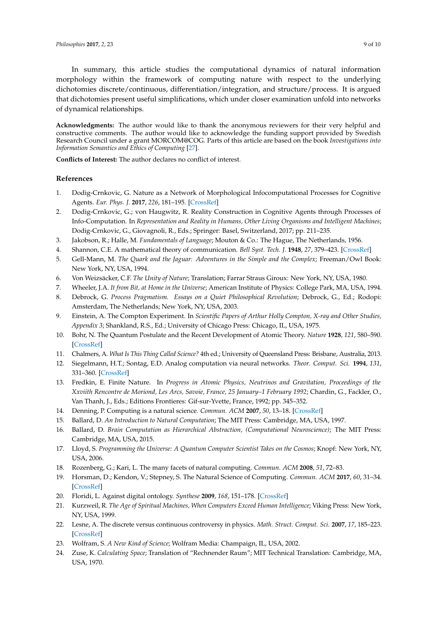In summary, this article studies the computational dynamics of natural information morphology within the framework of computing nature with respect to the underlying dichotomies discrete/continuous, differentiation/integration, and structure/process. It is argued that dichotomies present useful simplifications, which under closer examination unfold into networks of dynamical relationships.

**Acknowledgments:** The author would like to thank the anonymous reviewers for their very helpful and constructive comments. The author would like to acknowledge the funding support provided by Swedish Research Council under a grant MORCOM@COG. Parts of this article are based on the book *Investigations into Information Semantics and Ethics of Computing* [\[27\]](#page-9-2).

**Conflicts of Interest:** The author declares no conflict of interest.

#### **References**

- <span id="page-8-0"></span>1. Dodig-Crnkovic, G. Nature as a Network of Morphological Infocomputational Processes for Cognitive Agents. *Eur. Phys. J.* **2017**, *226*, 181–195. [\[CrossRef\]](http://dx.doi.org/10.1140/epjst/e2016-60362-9)
- <span id="page-8-1"></span>2. Dodig-Crnkovic, G.; von Haugwitz, R. Reality Construction in Cognitive Agents through Processes of Info-Computation. In *Representation and Reality in Humans, Other Living Organisms and Intelligent Machines*; Dodig-Crnkovic, G., Giovagnoli, R., Eds.; Springer: Basel, Switzerland, 2017; pp. 211–235.
- <span id="page-8-2"></span>3. Jakobson, R.; Halle, M. *Fundamentals of Language*; Mouton & Co.: The Hague, The Netherlands, 1956.
- <span id="page-8-3"></span>4. Shannon, C.E. A mathematical theory of communication. *Bell Syst. Tech. J.* **1948**, *27*, 379–423. [\[CrossRef\]](http://dx.doi.org/10.1002/j.1538-7305.1948.tb01338.x)
- <span id="page-8-4"></span>5. Gell-Mann, M. *The Quark and the Jaguar: Adventures in the Simple and the Complex*; Freeman/Owl Book: New York, NY, USA, 1994.
- <span id="page-8-5"></span>6. Von Weizsäcker, C.F. *The Unity of Nature*; Translation; Farrar Straus Giroux: New York, NY, USA, 1980.
- <span id="page-8-6"></span>7. Wheeler, J.A. *It from Bit, at Home in the Universe*; American Institute of Physics: College Park, MA, USA, 1994.
- <span id="page-8-7"></span>8. Debrock, G. *Process Pragmatism. Essays on a Quiet Philosophical Revolution*; Debrock, G., Ed.; Rodopi: Amsterdam, The Netherlands; New York, NY, USA, 2003.
- <span id="page-8-8"></span>9. Einstein, A. The Compton Experiment. In *Scientific Papers of Arthur Holly Compton, X-ray and Other Studies, Appendix 3*; Shankland, R.S., Ed.; University of Chicago Press: Chicago, IL, USA, 1975.
- <span id="page-8-9"></span>10. Bohr, N. The Quantum Postulate and the Recent Development of Atomic Theory. *Nature* **1928**, *121*, 580–590. [\[CrossRef\]](http://dx.doi.org/10.1038/121580a0)
- <span id="page-8-10"></span>11. Chalmers, A. *What Is This Thing Called Science?* 4th ed.; University of Queensland Press: Brisbane, Australia, 2013.
- <span id="page-8-11"></span>12. Siegelmann, H.T.; Sontag, E.D. Analog computation via neural networks. *Theor. Comput. Sci.* **1994**, *131*, 331–360. [\[CrossRef\]](http://dx.doi.org/10.1016/0304-3975(94)90178-3)
- <span id="page-8-12"></span>13. Fredkin, E. Finite Nature. In *Progress in Atomic Physics, Neutrinos and Gravitation, Proceedings of the Xxviith Rencontre de Moriond, Les Arcs, Savoie, France, 25 January–1 February 1992*; Chardin, G., Fackler, O., Van Thanh, J., Eds.; Editions Frontieres: Gif-sur-Yvette, France, 1992; pp. 345–352.
- <span id="page-8-13"></span>14. Denning, P. Computing is a natural science. *Commun. ACM* **2007**, *50*, 13–18. [\[CrossRef\]](http://dx.doi.org/10.1145/1272516.1272529)
- <span id="page-8-14"></span>15. Ballard, D. *An Introduction to Natural Computation*; The MIT Press: Cambridge, MA, USA, 1997.
- <span id="page-8-15"></span>16. Ballard, D. *Brain Computation as Hierarchical Abstraction, (Computational Neuroscience)*; The MIT Press: Cambridge, MA, USA, 2015.
- <span id="page-8-16"></span>17. Lloyd, S. *Programming the Universe: A Quantum Computer Scientist Takes on the Cosmos*; Knopf: New York, NY, USA, 2006.
- <span id="page-8-17"></span>18. Rozenberg, G.; Kari, L. The many facets of natural computing. *Commun. ACM* **2008**, *51*, 72–83.
- <span id="page-8-18"></span>19. Horsman, D.; Kendon, V.; Stepney, S. The Natural Science of Computing. *Commun. ACM* **2017**, *60*, 31–34. [\[CrossRef\]](http://dx.doi.org/10.1145/3107924)
- <span id="page-8-19"></span>20. Floridi, L. Against digital ontology. *Synthese* **2009**, *168*, 151–178. [\[CrossRef\]](http://dx.doi.org/10.1007/s11229-008-9334-6)
- <span id="page-8-20"></span>21. Kurzweil, R. *The Age of Spiritual Machines, When Computers Exceed Human Intelligence*; Viking Press: New York, NY, USA, 1999.
- <span id="page-8-21"></span>22. Lesne, A. The discrete versus continuous controversy in physics. *Math. Struct. Comput. Sci.* **2007**, *17*, 185–223. [\[CrossRef\]](http://dx.doi.org/10.1017/S0960129507005944)
- <span id="page-8-22"></span>23. Wolfram, S. *A New Kind of Science*; Wolfram Media: Champaign, IL, USA, 2002.
- <span id="page-8-23"></span>24. Zuse, K. *Calculating Space*; Translation of "Rechnender Raum"; MIT Technical Translation: Cambridge, MA, USA, 1970.